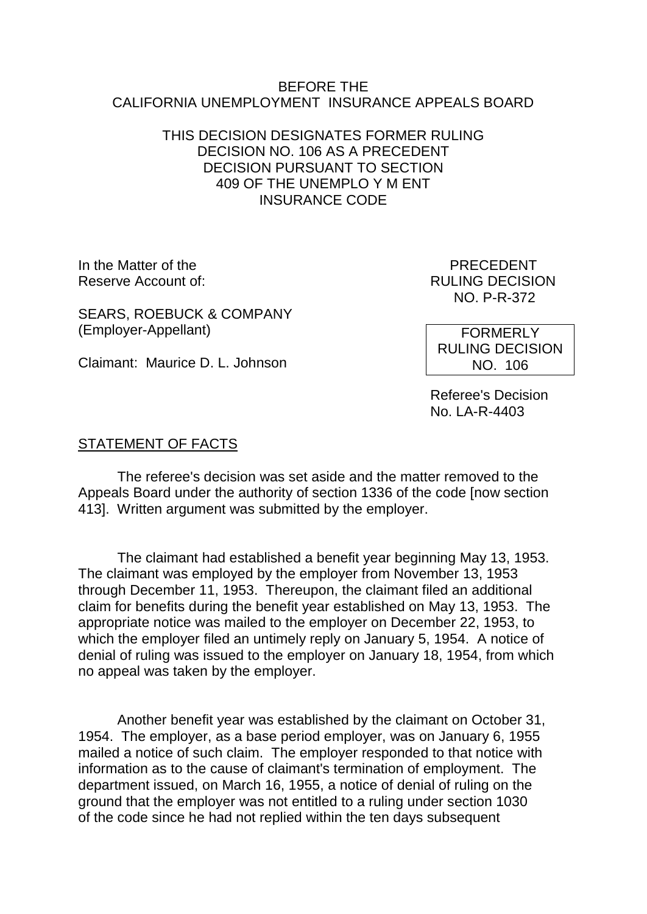### BEFORE THE CALIFORNIA UNEMPLOYMENT INSURANCE APPEALS BOARD

## THIS DECISION DESIGNATES FORMER RULING DECISION NO. 106 AS A PRECEDENT DECISION PURSUANT TO SECTION 409 OF THE UNEMPLO Y M ENT INSURANCE CODE

In the Matter of the **PRECEDENT** Reserve Account of:  $RULING DECISION$ 

NO. P-R-372

SEARS, ROEBUCK & COMPANY (Employer-Appellant)

Claimant: Maurice D. L. Johnson

RULING DECISION NO. 106

**FORMERLY** 

Referee's Decision No. LA-R-4403

## STATEMENT OF FACTS

The referee's decision was set aside and the matter removed to the Appeals Board under the authority of section 1336 of the code [now section 413]. Written argument was submitted by the employer.

The claimant had established a benefit year beginning May 13, 1953. The claimant was employed by the employer from November 13, 1953 through December 11, 1953. Thereupon, the claimant filed an additional claim for benefits during the benefit year established on May 13, 1953. The appropriate notice was mailed to the employer on December 22, 1953, to which the employer filed an untimely reply on January 5, 1954. A notice of denial of ruling was issued to the employer on January 18, 1954, from which no appeal was taken by the employer.

Another benefit year was established by the claimant on October 31, 1954. The employer, as a base period employer, was on January 6, 1955 mailed a notice of such claim. The employer responded to that notice with information as to the cause of claimant's termination of employment. The department issued, on March 16, 1955, a notice of denial of ruling on the ground that the employer was not entitled to a ruling under section 1030 of the code since he had not replied within the ten days subsequent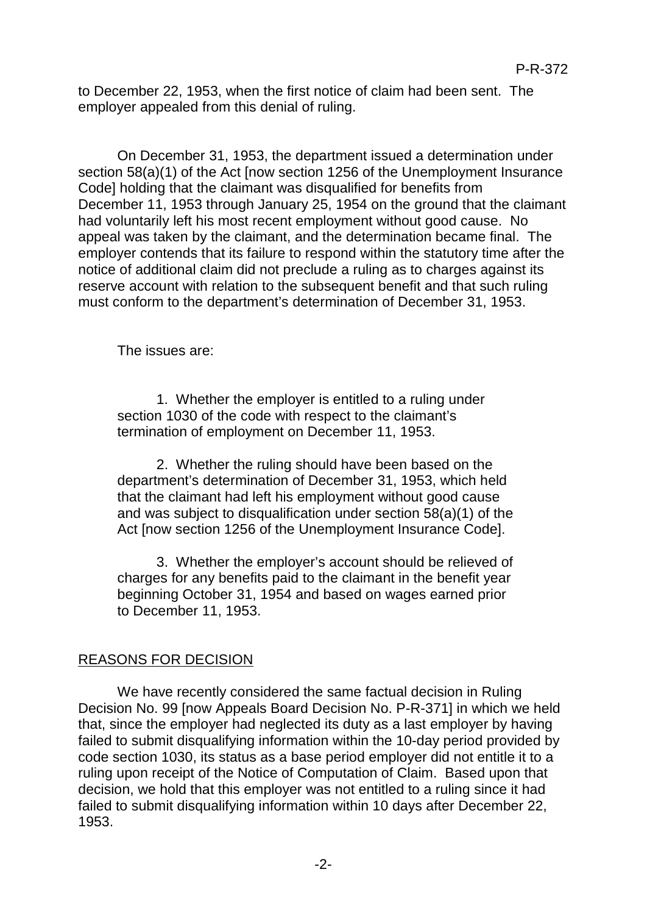to December 22, 1953, when the first notice of claim had been sent. The employer appealed from this denial of ruling.

On December 31, 1953, the department issued a determination under section 58(a)(1) of the Act [now section 1256 of the Unemployment Insurance Code] holding that the claimant was disqualified for benefits from December 11, 1953 through January 25, 1954 on the ground that the claimant had voluntarily left his most recent employment without good cause. No appeal was taken by the claimant, and the determination became final. The employer contends that its failure to respond within the statutory time after the notice of additional claim did not preclude a ruling as to charges against its reserve account with relation to the subsequent benefit and that such ruling must conform to the department's determination of December 31, 1953.

The issues are:

1. Whether the employer is entitled to a ruling under section 1030 of the code with respect to the claimant's termination of employment on December 11, 1953.

2. Whether the ruling should have been based on the department's determination of December 31, 1953, which held that the claimant had left his employment without good cause and was subject to disqualification under section 58(a)(1) of the Act [now section 1256 of the Unemployment Insurance Code].

3. Whether the employer's account should be relieved of charges for any benefits paid to the claimant in the benefit year beginning October 31, 1954 and based on wages earned prior to December 11, 1953.

# REASONS FOR DECISION

We have recently considered the same factual decision in Ruling Decision No. 99 [now Appeals Board Decision No. P-R-371] in which we held that, since the employer had neglected its duty as a last employer by having failed to submit disqualifying information within the 10-day period provided by code section 1030, its status as a base period employer did not entitle it to a ruling upon receipt of the Notice of Computation of Claim. Based upon that decision, we hold that this employer was not entitled to a ruling since it had failed to submit disqualifying information within 10 days after December 22, 1953.